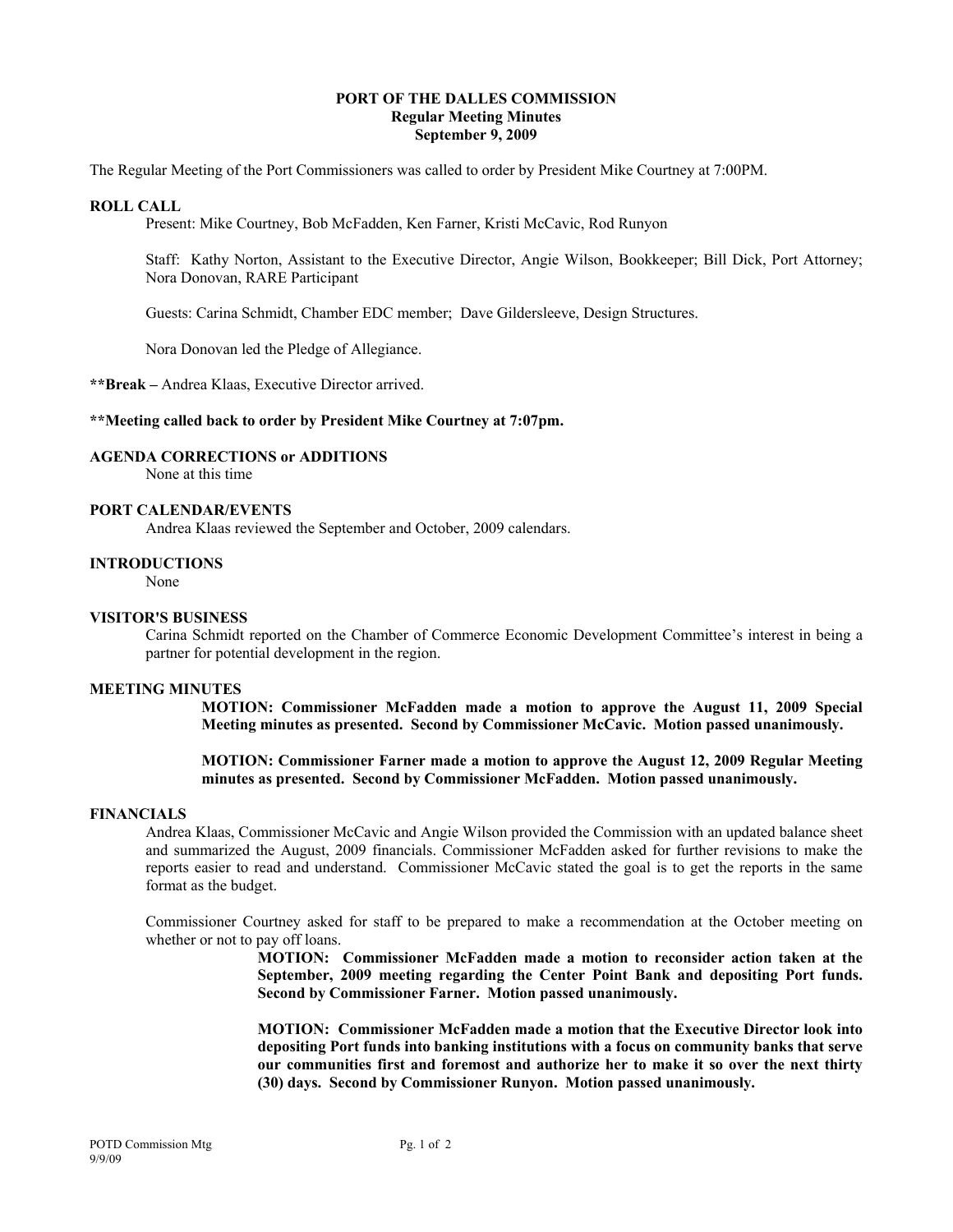# **PORT OF THE DALLES COMMISSION Regular Meeting Minutes September 9, 2009**

The Regular Meeting of the Port Commissioners was called to order by President Mike Courtney at 7:00PM.

# **ROLL CALL**

Present: Mike Courtney, Bob McFadden, Ken Farner, Kristi McCavic, Rod Runyon

Staff: Kathy Norton, Assistant to the Executive Director, Angie Wilson, Bookkeeper; Bill Dick, Port Attorney; Nora Donovan, RARE Participant

Guests: Carina Schmidt, Chamber EDC member; Dave Gildersleeve, Design Structures.

Nora Donovan led the Pledge of Allegiance.

**\*\*Break –** Andrea Klaas, Executive Director arrived.

# **\*\*Meeting called back to order by President Mike Courtney at 7:07pm.**

# **AGENDA CORRECTIONS or ADDITIONS**

None at this time

# **PORT CALENDAR/EVENTS**

Andrea Klaas reviewed the September and October, 2009 calendars.

## **INTRODUCTIONS**

None

#### **VISITOR'S BUSINESS**

Carina Schmidt reported on the Chamber of Commerce Economic Development Committee's interest in being a partner for potential development in the region.

#### **MEETING MINUTES**

**MOTION: Commissioner McFadden made a motion to approve the August 11, 2009 Special Meeting minutes as presented. Second by Commissioner McCavic. Motion passed unanimously.** 

**MOTION: Commissioner Farner made a motion to approve the August 12, 2009 Regular Meeting minutes as presented. Second by Commissioner McFadden. Motion passed unanimously.** 

#### **FINANCIALS**

Andrea Klaas, Commissioner McCavic and Angie Wilson provided the Commission with an updated balance sheet and summarized the August, 2009 financials. Commissioner McFadden asked for further revisions to make the reports easier to read and understand. Commissioner McCavic stated the goal is to get the reports in the same format as the budget.

Commissioner Courtney asked for staff to be prepared to make a recommendation at the October meeting on whether or not to pay off loans.

> **MOTION: Commissioner McFadden made a motion to reconsider action taken at the September, 2009 meeting regarding the Center Point Bank and depositing Port funds. Second by Commissioner Farner. Motion passed unanimously.**

> **MOTION: Commissioner McFadden made a motion that the Executive Director look into depositing Port funds into banking institutions with a focus on community banks that serve our communities first and foremost and authorize her to make it so over the next thirty (30) days. Second by Commissioner Runyon. Motion passed unanimously.**